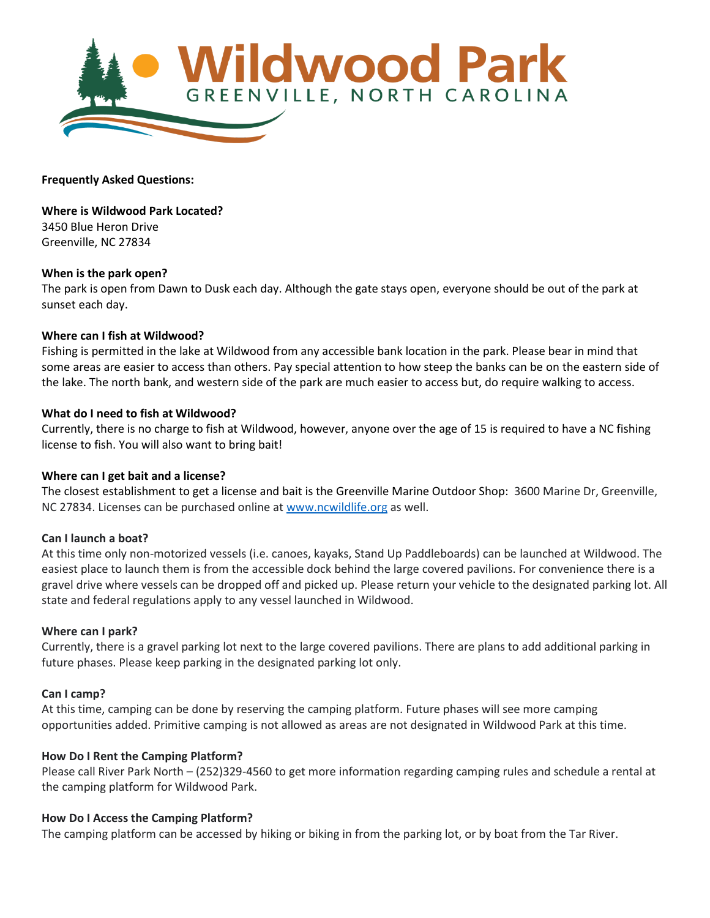

**Frequently Asked Questions:**

**Where is Wildwood Park Located?** 3450 Blue Heron Drive Greenville, NC 27834

#### **When is the park open?**

The park is open from Dawn to Dusk each day. Although the gate stays open, everyone should be out of the park at sunset each day.

#### **Where can I fish at Wildwood?**

Fishing is permitted in the lake at Wildwood from any accessible bank location in the park. Please bear in mind that some areas are easier to access than others. Pay special attention to how steep the banks can be on the eastern side of the lake. The north bank, and western side of the park are much easier to access but, do require walking to access.

#### **What do I need to fish at Wildwood?**

Currently, there is no charge to fish at Wildwood, however, anyone over the age of 15 is required to have a NC fishing license to fish. You will also want to bring bait!

## **Where can I get bait and a license?**

The closest establishment to get a license and bait is the Greenville Marine Outdoor Shop: 3600 Marine Dr, Greenville, NC 27834. Licenses can be purchased online at [www.ncwildlife.org](http://www.ncwildlife.org/) as well.

#### **Can I launch a boat?**

At this time only non-motorized vessels (i.e. canoes, kayaks, Stand Up Paddleboards) can be launched at Wildwood. The easiest place to launch them is from the accessible dock behind the large covered pavilions. For convenience there is a gravel drive where vessels can be dropped off and picked up. Please return your vehicle to the designated parking lot. All state and federal regulations apply to any vessel launched in Wildwood.

#### **Where can I park?**

Currently, there is a gravel parking lot next to the large covered pavilions. There are plans to add additional parking in future phases. Please keep parking in the designated parking lot only.

#### **Can I camp?**

At this time, camping can be done by reserving the camping platform. Future phases will see more camping opportunities added. Primitive camping is not allowed as areas are not designated in Wildwood Park at this time.

## **How Do I Rent the Camping Platform?**

Please call River Park North – (252)329-4560 to get more information regarding camping rules and schedule a rental at the camping platform for Wildwood Park.

## **How Do I Access the Camping Platform?**

The camping platform can be accessed by hiking or biking in from the parking lot, or by boat from the Tar River.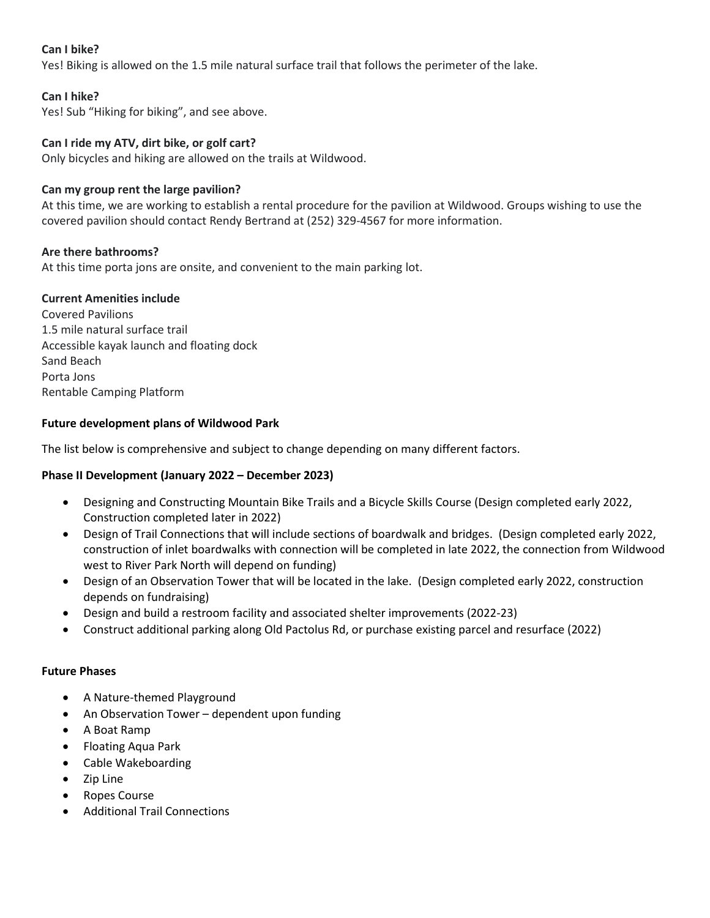# **Can I bike?**

Yes! Biking is allowed on the 1.5 mile natural surface trail that follows the perimeter of the lake.

## **Can I hike?**

Yes! Sub "Hiking for biking", and see above.

## **Can I ride my ATV, dirt bike, or golf cart?**

Only bicycles and hiking are allowed on the trails at Wildwood.

## **Can my group rent the large pavilion?**

At this time, we are working to establish a rental procedure for the pavilion at Wildwood. Groups wishing to use the covered pavilion should contact Rendy Bertrand at (252) 329-4567 for more information.

## **Are there bathrooms?**

At this time porta jons are onsite, and convenient to the main parking lot.

## **Current Amenities include**

Covered Pavilions 1.5 mile natural surface trail Accessible kayak launch and floating dock Sand Beach Porta Jons Rentable Camping Platform

# **Future development plans of Wildwood Park**

The list below is comprehensive and subject to change depending on many different factors.

## **Phase II Development (January 2022 – December 2023)**

- Designing and Constructing Mountain Bike Trails and a Bicycle Skills Course (Design completed early 2022, Construction completed later in 2022)
- Design of Trail Connections that will include sections of boardwalk and bridges. (Design completed early 2022, construction of inlet boardwalks with connection will be completed in late 2022, the connection from Wildwood west to River Park North will depend on funding)
- Design of an Observation Tower that will be located in the lake. (Design completed early 2022, construction depends on fundraising)
- Design and build a restroom facility and associated shelter improvements (2022-23)
- Construct additional parking along Old Pactolus Rd, or purchase existing parcel and resurface (2022)

## **Future Phases**

- A Nature-themed Playground
- An Observation Tower dependent upon funding
- A Boat Ramp
- Floating Aqua Park
- Cable Wakeboarding
- Zip Line
- Ropes Course
- Additional Trail Connections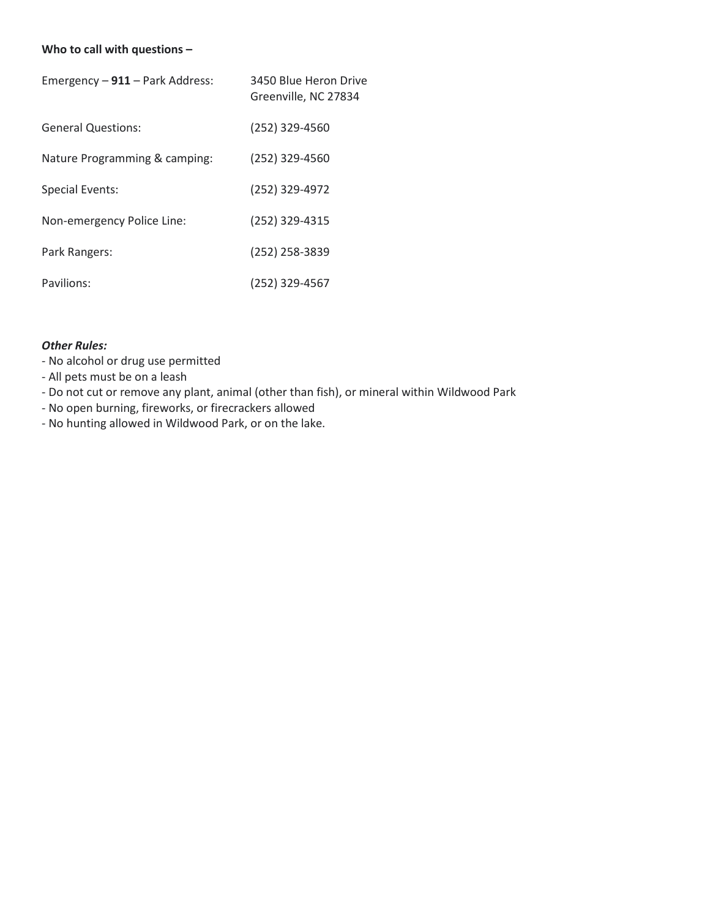# **Who to call with questions –**

| Emergency - 911 - Park Address: | 3450 Blue Heron Drive<br>Greenville, NC 27834 |
|---------------------------------|-----------------------------------------------|
| <b>General Questions:</b>       | (252) 329-4560                                |
| Nature Programming & camping:   | (252) 329-4560                                |
| Special Events:                 | (252) 329-4972                                |
| Non-emergency Police Line:      | (252) 329-4315                                |
| Park Rangers:                   | (252) 258-3839                                |
| Pavilions:                      | (252) 329-4567                                |

# *Other Rules:*

- No alcohol or drug use permitted
- All pets must be on a leash
- Do not cut or remove any plant, animal (other than fish), or mineral within Wildwood Park
- No open burning, fireworks, or firecrackers allowed
- No hunting allowed in Wildwood Park, or on the lake.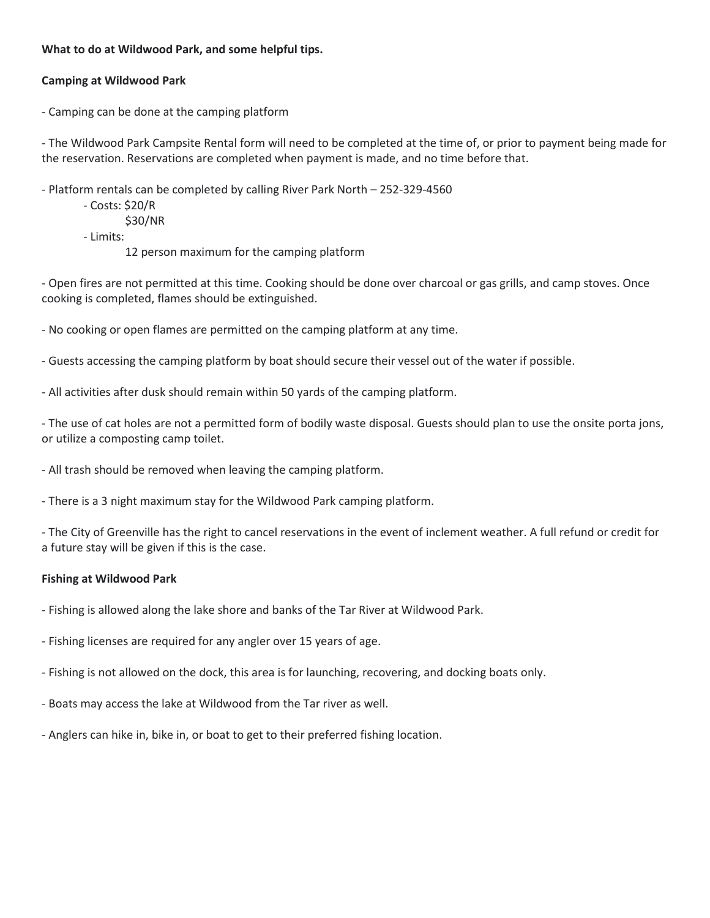## **What to do at Wildwood Park, and some helpful tips.**

# **Camping at Wildwood Park**

- Camping can be done at the camping platform

- The Wildwood Park Campsite Rental form will need to be completed at the time of, or prior to payment being made for the reservation. Reservations are completed when payment is made, and no time before that.

- Platform rentals can be completed by calling River Park North – 252-329-4560

- Costs: \$20/R
	- \$30/NR
- Limits:

12 person maximum for the camping platform

- Open fires are not permitted at this time. Cooking should be done over charcoal or gas grills, and camp stoves. Once cooking is completed, flames should be extinguished.

- No cooking or open flames are permitted on the camping platform at any time.

- Guests accessing the camping platform by boat should secure their vessel out of the water if possible.

- All activities after dusk should remain within 50 yards of the camping platform.

- The use of cat holes are not a permitted form of bodily waste disposal. Guests should plan to use the onsite porta jons, or utilize a composting camp toilet.

- All trash should be removed when leaving the camping platform.
- There is a 3 night maximum stay for the Wildwood Park camping platform.

- The City of Greenville has the right to cancel reservations in the event of inclement weather. A full refund or credit for a future stay will be given if this is the case.

## **Fishing at Wildwood Park**

- Fishing is allowed along the lake shore and banks of the Tar River at Wildwood Park.
- Fishing licenses are required for any angler over 15 years of age.
- Fishing is not allowed on the dock, this area is for launching, recovering, and docking boats only.
- Boats may access the lake at Wildwood from the Tar river as well.
- Anglers can hike in, bike in, or boat to get to their preferred fishing location.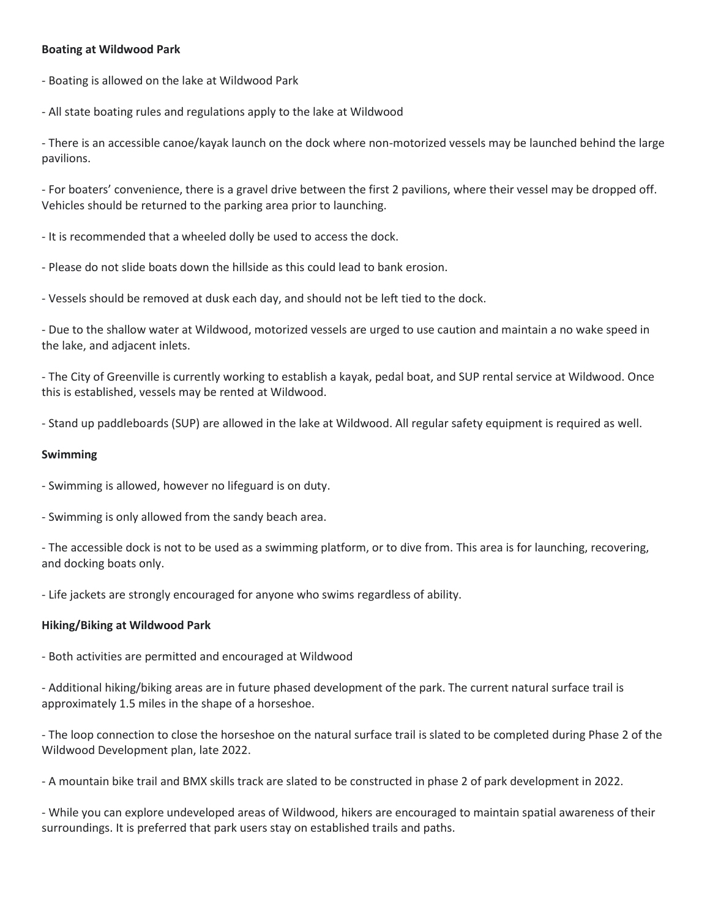## **Boating at Wildwood Park**

- Boating is allowed on the lake at Wildwood Park

- All state boating rules and regulations apply to the lake at Wildwood

- There is an accessible canoe/kayak launch on the dock where non-motorized vessels may be launched behind the large pavilions.

- For boaters' convenience, there is a gravel drive between the first 2 pavilions, where their vessel may be dropped off. Vehicles should be returned to the parking area prior to launching.

- It is recommended that a wheeled dolly be used to access the dock.

- Please do not slide boats down the hillside as this could lead to bank erosion.

- Vessels should be removed at dusk each day, and should not be left tied to the dock.

- Due to the shallow water at Wildwood, motorized vessels are urged to use caution and maintain a no wake speed in the lake, and adjacent inlets.

- The City of Greenville is currently working to establish a kayak, pedal boat, and SUP rental service at Wildwood. Once this is established, vessels may be rented at Wildwood.

- Stand up paddleboards (SUP) are allowed in the lake at Wildwood. All regular safety equipment is required as well.

#### **Swimming**

- Swimming is allowed, however no lifeguard is on duty.

- Swimming is only allowed from the sandy beach area.

- The accessible dock is not to be used as a swimming platform, or to dive from. This area is for launching, recovering, and docking boats only.

- Life jackets are strongly encouraged for anyone who swims regardless of ability.

#### **Hiking/Biking at Wildwood Park**

- Both activities are permitted and encouraged at Wildwood

- Additional hiking/biking areas are in future phased development of the park. The current natural surface trail is approximately 1.5 miles in the shape of a horseshoe.

- The loop connection to close the horseshoe on the natural surface trail is slated to be completed during Phase 2 of the Wildwood Development plan, late 2022.

- A mountain bike trail and BMX skills track are slated to be constructed in phase 2 of park development in 2022.

- While you can explore undeveloped areas of Wildwood, hikers are encouraged to maintain spatial awareness of their surroundings. It is preferred that park users stay on established trails and paths.